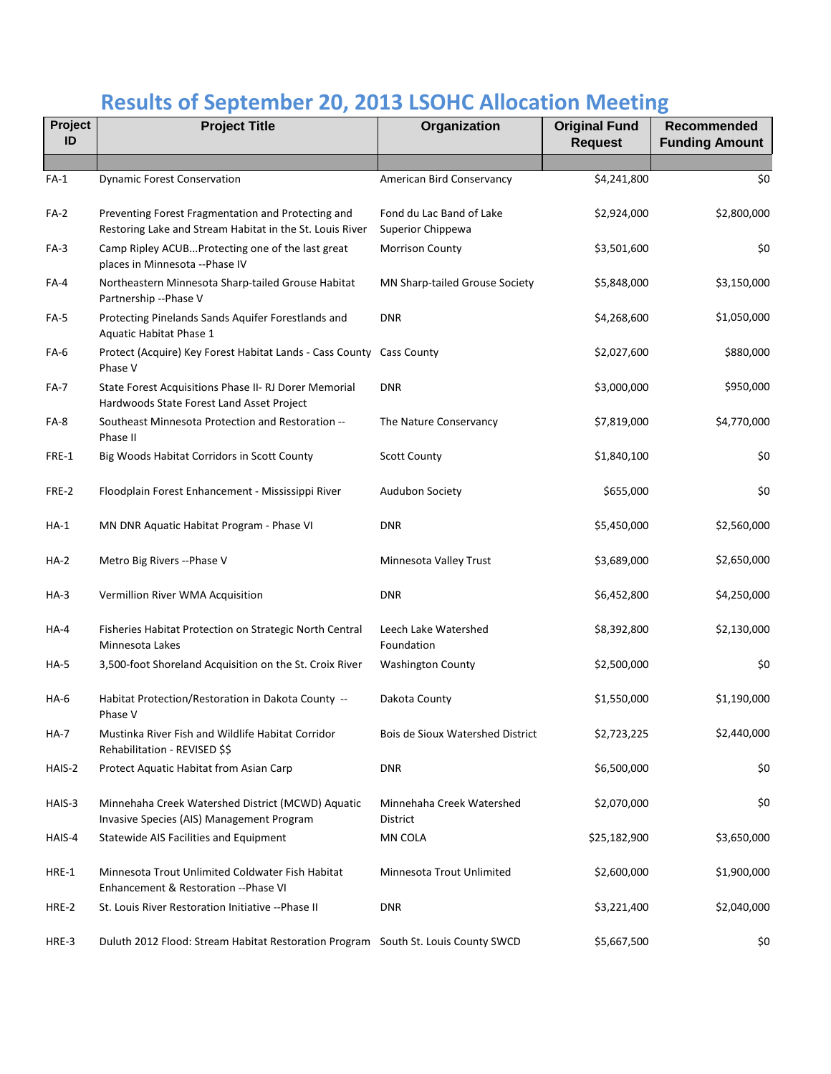## **Results of September 20, 2013 LSOHC Allocation Meeting**

| Project<br>ID | <b>Project Title</b>                                                                                           | Organization                                  | <b>Original Fund</b><br><b>Request</b> | Recommended<br><b>Funding Amount</b> |
|---------------|----------------------------------------------------------------------------------------------------------------|-----------------------------------------------|----------------------------------------|--------------------------------------|
|               |                                                                                                                |                                               |                                        |                                      |
| $FA-1$        | <b>Dynamic Forest Conservation</b>                                                                             | American Bird Conservancy                     | \$4,241,800                            | \$0                                  |
| FA-2          | Preventing Forest Fragmentation and Protecting and<br>Restoring Lake and Stream Habitat in the St. Louis River | Fond du Lac Band of Lake<br>Superior Chippewa | \$2,924,000                            | \$2,800,000                          |
| $FA-3$        | Camp Ripley ACUBProtecting one of the last great<br>places in Minnesota --Phase IV                             | Morrison County                               | \$3,501,600                            | \$0                                  |
| FA-4          | Northeastern Minnesota Sharp-tailed Grouse Habitat<br>Partnership -- Phase V                                   | MN Sharp-tailed Grouse Society                | \$5,848,000                            | \$3,150,000                          |
| FA-5          | Protecting Pinelands Sands Aquifer Forestlands and<br>Aquatic Habitat Phase 1                                  | <b>DNR</b>                                    | \$4,268,600                            | \$1,050,000                          |
| FA-6          | Protect (Acquire) Key Forest Habitat Lands - Cass County Cass County<br>Phase V                                |                                               | \$2,027,600                            | \$880,000                            |
| FA-7          | State Forest Acquisitions Phase II- RJ Dorer Memorial<br>Hardwoods State Forest Land Asset Project             | <b>DNR</b>                                    | \$3,000,000                            | \$950,000                            |
| FA-8          | Southeast Minnesota Protection and Restoration --<br>Phase II                                                  | The Nature Conservancy                        | \$7,819,000                            | \$4,770,000                          |
| FRE-1         | Big Woods Habitat Corridors in Scott County                                                                    | <b>Scott County</b>                           | \$1,840,100                            | \$0                                  |
| FRE-2         | Floodplain Forest Enhancement - Mississippi River                                                              | Audubon Society                               | \$655,000                              | \$0                                  |
| HA-1          | MN DNR Aquatic Habitat Program - Phase VI                                                                      | <b>DNR</b>                                    | \$5,450,000                            | \$2,560,000                          |
| <b>HA-2</b>   | Metro Big Rivers -- Phase V                                                                                    | Minnesota Valley Trust                        | \$3,689,000                            | \$2,650,000                          |
| HA-3          | Vermillion River WMA Acquisition                                                                               | <b>DNR</b>                                    | \$6,452,800                            | \$4,250,000                          |
| HA-4          | Fisheries Habitat Protection on Strategic North Central<br>Minnesota Lakes                                     | Leech Lake Watershed<br>Foundation            | \$8,392,800                            | \$2,130,000                          |
| HA-5          | 3,500-foot Shoreland Acquisition on the St. Croix River                                                        | <b>Washington County</b>                      | \$2,500,000                            | \$0                                  |
| $HA-6$        | Habitat Protection/Restoration in Dakota County --<br>Phase V                                                  | Dakota County                                 | \$1,550,000                            | \$1,190,000                          |
| HA-7          | Mustinka River Fish and Wildlife Habitat Corridor<br>Rehabilitation - REVISED \$\$                             | <b>Bois de Sioux Watershed District</b>       | \$2,723,225                            | \$2,440,000                          |
| HAIS-2        | Protect Aquatic Habitat from Asian Carp                                                                        | <b>DNR</b>                                    | \$6,500,000                            | \$0                                  |
| HAIS-3        | Minnehaha Creek Watershed District (MCWD) Aquatic<br>Invasive Species (AIS) Management Program                 | Minnehaha Creek Watershed<br>District         | \$2,070,000                            | \$0                                  |
| HAIS-4        | Statewide AIS Facilities and Equipment                                                                         | MN COLA                                       | \$25,182,900                           | \$3,650,000                          |
| HRE-1         | Minnesota Trout Unlimited Coldwater Fish Habitat<br>Enhancement & Restoration --Phase VI                       | Minnesota Trout Unlimited                     | \$2,600,000                            | \$1,900,000                          |
| HRE-2         | St. Louis River Restoration Initiative -- Phase II                                                             | <b>DNR</b>                                    | \$3,221,400                            | \$2,040,000                          |
| HRE-3         | Duluth 2012 Flood: Stream Habitat Restoration Program South St. Louis County SWCD                              |                                               | \$5,667,500                            | \$0                                  |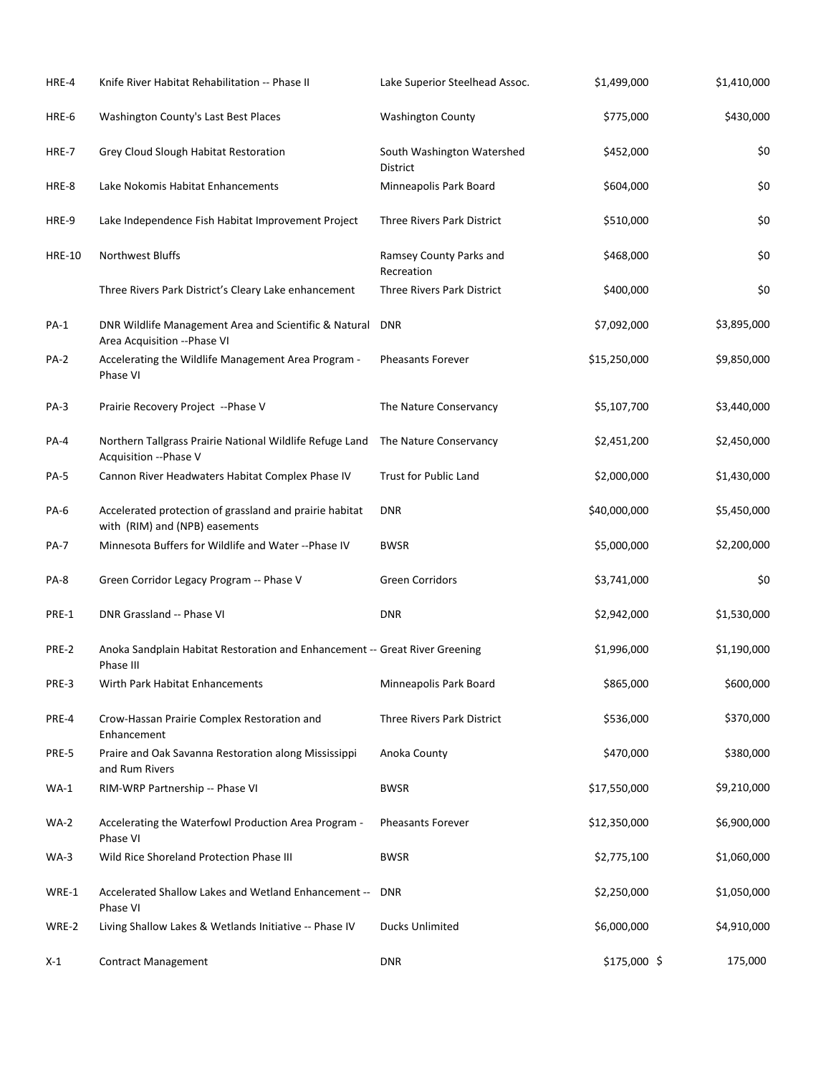| HRE-4         | Knife River Habitat Rehabilitation -- Phase II                                            | Lake Superior Steelhead Assoc.                | \$1,499,000  | \$1,410,000 |
|---------------|-------------------------------------------------------------------------------------------|-----------------------------------------------|--------------|-------------|
| HRE-6         | Washington County's Last Best Places                                                      | <b>Washington County</b>                      | \$775,000    | \$430,000   |
| HRE-7         | Grey Cloud Slough Habitat Restoration                                                     | South Washington Watershed<br><b>District</b> | \$452,000    | \$0         |
| HRE-8         | Lake Nokomis Habitat Enhancements                                                         | Minneapolis Park Board                        | \$604,000    | \$0         |
| HRE-9         | Lake Independence Fish Habitat Improvement Project                                        | Three Rivers Park District                    | \$510,000    | \$0         |
| <b>HRE-10</b> | Northwest Bluffs                                                                          | Ramsey County Parks and<br>Recreation         | \$468,000    | \$0         |
|               | Three Rivers Park District's Cleary Lake enhancement                                      | Three Rivers Park District                    | \$400,000    | \$0         |
| <b>PA-1</b>   | DNR Wildlife Management Area and Scientific & Natural<br>Area Acquisition -- Phase VI     | <b>DNR</b>                                    | \$7,092,000  | \$3,895,000 |
| <b>PA-2</b>   | Accelerating the Wildlife Management Area Program -<br>Phase VI                           | <b>Pheasants Forever</b>                      | \$15,250,000 | \$9,850,000 |
| $PA-3$        | Prairie Recovery Project -- Phase V                                                       | The Nature Conservancy                        | \$5,107,700  | \$3,440,000 |
| <b>PA-4</b>   | Northern Tallgrass Prairie National Wildlife Refuge Land<br>Acquisition -- Phase V        | The Nature Conservancy                        | \$2,451,200  | \$2,450,000 |
| <b>PA-5</b>   | Cannon River Headwaters Habitat Complex Phase IV                                          | <b>Trust for Public Land</b>                  | \$2,000,000  | \$1,430,000 |
| PA-6          | Accelerated protection of grassland and prairie habitat<br>with (RIM) and (NPB) easements | <b>DNR</b>                                    | \$40,000,000 | \$5,450,000 |
| <b>PA-7</b>   | Minnesota Buffers for Wildlife and Water -- Phase IV                                      | <b>BWSR</b>                                   | \$5,000,000  | \$2,200,000 |
| PA-8          | Green Corridor Legacy Program -- Phase V                                                  | <b>Green Corridors</b>                        | \$3,741,000  | \$0         |
| PRE-1         | DNR Grassland -- Phase VI                                                                 | <b>DNR</b>                                    | \$2,942,000  | \$1,530,000 |
| PRE-2         | Anoka Sandplain Habitat Restoration and Enhancement -- Great River Greening<br>Phase III  |                                               | \$1,996,000  | \$1,190,000 |
| PRE-3         | Wirth Park Habitat Enhancements                                                           | Minneapolis Park Board                        | \$865,000    | \$600,000   |
| PRE-4         | Crow-Hassan Prairie Complex Restoration and<br>Enhancement                                | Three Rivers Park District                    | \$536,000    | \$370,000   |
| PRE-5         | Praire and Oak Savanna Restoration along Mississippi<br>and Rum Rivers                    | Anoka County                                  | \$470,000    | \$380,000   |
| $WA-1$        | RIM-WRP Partnership -- Phase VI                                                           | <b>BWSR</b>                                   | \$17,550,000 | \$9,210,000 |
| $WA-2$        | Accelerating the Waterfowl Production Area Program -<br>Phase VI                          | <b>Pheasants Forever</b>                      | \$12,350,000 | \$6,900,000 |
| $WA-3$        | Wild Rice Shoreland Protection Phase III                                                  | <b>BWSR</b>                                   | \$2,775,100  | \$1,060,000 |
| WRE-1         | Accelerated Shallow Lakes and Wetland Enhancement --<br>Phase VI                          | <b>DNR</b>                                    | \$2,250,000  | \$1,050,000 |
| WRE-2         | Living Shallow Lakes & Wetlands Initiative -- Phase IV                                    | <b>Ducks Unlimited</b>                        | \$6,000,000  | \$4,910,000 |
| X-1           | <b>Contract Management</b>                                                                | <b>DNR</b>                                    | \$175,000 \$ | 175,000     |